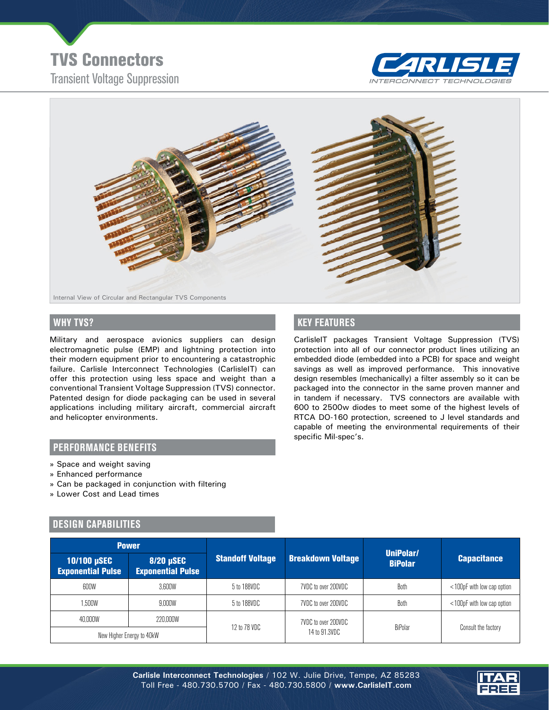Transient Voltage Suppression TVS Connectors





Military and aerospace avionics suppliers can design electromagnetic pulse (EMP) and lightning protection into their modern equipment prior to encountering a catastrophic failure. Carlisle Interconnect Technologies (CarlisleIT) can offer this protection using less space and weight than a conventional Transient Voltage Suppression (TVS) connector. Patented design for diode packaging can be used in several applications including military aircraft, commercial aircraft and helicopter environments.

# **WHY TVS? KEY FEATURES**

CarlisleIT packages Transient Voltage Suppression (TVS) protection into all of our connector product lines utilizing an embedded diode (embedded into a PCB) for space and weight savings as well as improved performance. This innovative design resembles (mechanically) a filter assembly so it can be packaged into the connector in the same proven manner and in tandem if necessary. TVS connectors are available with 600 to 2500w diodes to meet some of the highest levels of RTCA DO-160 protection, screened to J level standards and capable of meeting the environmental requirements of their specific Mil-spec's.

#### **PERFORMANCE BENEFITS**

- » Space and weight saving
- » Enhanced performance
- » Can be packaged in conjunction with filtering
- » Lower Cost and Lead times

## **DESIGN CAPABILITIES**

| <b>Power</b>                            |                                       |                         |                          |                             |                            |
|-----------------------------------------|---------------------------------------|-------------------------|--------------------------|-----------------------------|----------------------------|
| 10/100 µSEC<br><b>Exponential Pulse</b> | 8/20 µSEC<br><b>Exponential Pulse</b> | <b>Standoff Voltage</b> | <b>Breakdown Voltage</b> | UniPolar/<br><b>BiPolar</b> | <b>Capacitance</b>         |
| 600W                                    | 3.600W                                | 5 to 188VDC             | 7VDC to over 200VDC      | Both                        | <100pF with low cap option |
| 1.500W                                  | 9.000W                                | 5 to 188VDC             | 7VDC to over 200VDC      | Both                        | <100pF with low cap option |
| 40,000W                                 | 220,000W                              | 12 to 78 VDC            | 7VDC to over 200VDC      | BiPolar                     | Consult the factory        |
| New Higher Energy to 40kW               |                                       |                         | 14 to 91.3VDC            |                             |                            |